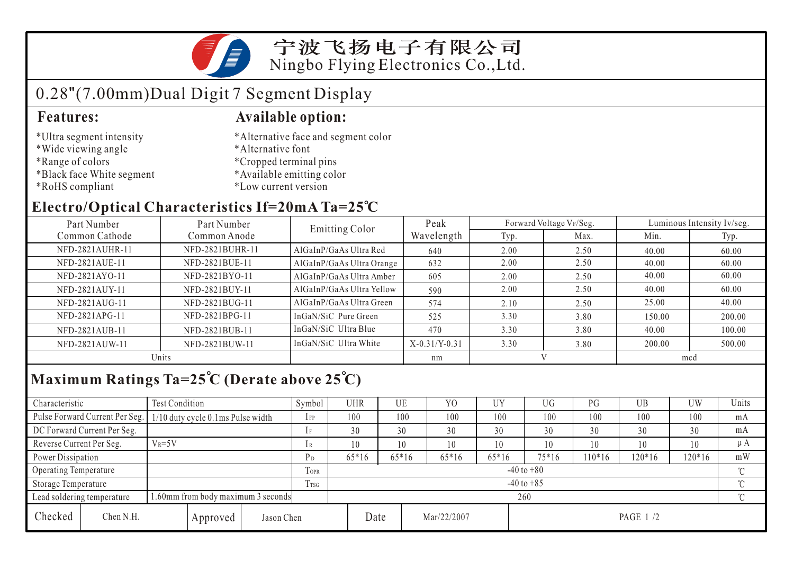

# 0.28"(7.00mm)Dual Digit 7 Segment Display

- \*Ultra segment intensity
- \*Wide viewing angle
- \*Range of colors
- \*Black face White segment
- \*RoHS compliant

#### **Features: Available option:**

- \*Alternative face and segment color
- \*Alternative font
- \*Cropped terminal pins
- \*Available emitting color
- \*Low current version

### **Electro/Optical Characteristics If=20mA Ta=25 C**

| Part Number<br>Part Number |                 | Emitting Color            | Peak            |      | Forward Voltage VF/Seg. | Luminous Intensity Iv/seg. |        |  |
|----------------------------|-----------------|---------------------------|-----------------|------|-------------------------|----------------------------|--------|--|
| Common Cathode             | Common Anode    |                           | Wavelength      | Typ. | Max.                    | Min.                       | Typ.   |  |
| NFD-2821AUHR-11            | NFD-2821BUHR-11 | AlGaInP/GaAs Ultra Red    | 640             | 2.00 | 2.50                    | 40.00                      | 60.00  |  |
| NFD-2821AUE-11             | NFD-2821BUE-11  | AlGaInP/GaAs Ultra Orange | 632             | 2.00 | 2.50                    | 40.00                      | 60.00  |  |
| NFD-2821AYO-11             | NFD-2821BYO-11  | AlGaInP/GaAs Ultra Amber  | 605             | 2.00 | 2.50                    | 40.00                      | 60.00  |  |
| NFD-2821AUY-11             | NFD-2821BUY-11  | AlGaInP/GaAs Ultra Yellow | 590             | 2.00 | 2.50                    | 40.00                      | 60.00  |  |
| NFD-2821AUG-11             | NFD-2821BUG-11  | AlGaInP/GaAs Ultra Green  | 574             | 2.10 | 2.50                    | 25.00                      | 40.00  |  |
| NFD-2821APG-11             | NFD-2821BPG-11  | InGaN/SiC Pure Green      | 525             | 3.30 | 3.80                    | 150.00                     | 200.00 |  |
| NFD-2821AUB-11             | NFD-2821BUB-11  | InGaN/SiC Ultra Blue      | 470             | 3.30 | 3.80                    | 40.00                      | 100.00 |  |
| NFD-2821AUW-11             | NFD-2821BUW-11  | InGaN/SiC Ultra White     | $X-0.31/Y-0.31$ | 3.30 | 3.80                    | 200.00                     | 500.00 |  |
| Units                      |                 |                           | nm              |      |                         | mcd                        |        |  |

# **Maximum Ratings Ta=25 C (Derate above 25 C)**

| Characteristic           |                                                                  | <b>Test Condition</b>             |      |                     | Symbol         | <b>UHR</b>     |  | UE       | Y <sub>0</sub> | <b>UY</b> | UG    | PG      | UB       | <b>UW</b> | Units   |
|--------------------------|------------------------------------------------------------------|-----------------------------------|------|---------------------|----------------|----------------|--|----------|----------------|-----------|-------|---------|----------|-----------|---------|
|                          | Pulse Forward Current Per Seg.                                   | 1/10 duty cycle 0.1ms Pulse width |      |                     | $1$ FP         | 100            |  | 100      | 100            | 100       | 100   | 100     | 100      | 100       | mA      |
|                          | DC Forward Current Per Seg.                                      |                                   |      |                     | 1F             | 30             |  | 30       | 30             | 30        | 30    | 30      | 30       | 30        | mA      |
| Reverse Current Per Seg. |                                                                  | $V_R = 5V$                        |      |                     | 1 R            | 10             |  | 10       | 10             | 10        | 10    | 10      | 10       | 10        | $\mu A$ |
| Power Dissipation        |                                                                  |                                   |      |                     | P <sub>D</sub> | $65*16$        |  | $65*16$  | $65*16$        | $65*16$   | 75*16 | $10*16$ | $120*16$ | 120*16    | mW      |
| Operating Temperature    |                                                                  |                                   |      | <b>TOPR</b>         |                | $-40$ to $+80$ |  |          |                |           |       |         |          |           |         |
| Storage Temperature      |                                                                  |                                   | Trsg | $-40$ to $+85$      |                |                |  |          |                |           |       |         | $\sim$   |           |         |
|                          | 1.60mm from body maximum 3 seconds<br>Lead soldering temperature |                                   |      |                     |                | 260            |  |          |                |           |       |         |          |           |         |
| Checked                  | Chen N.H.<br>Jason Chen<br>Approved                              |                                   |      | Date<br>Mar/22/2007 |                |                |  | PAGE 1/2 |                |           |       |         |          |           |         |